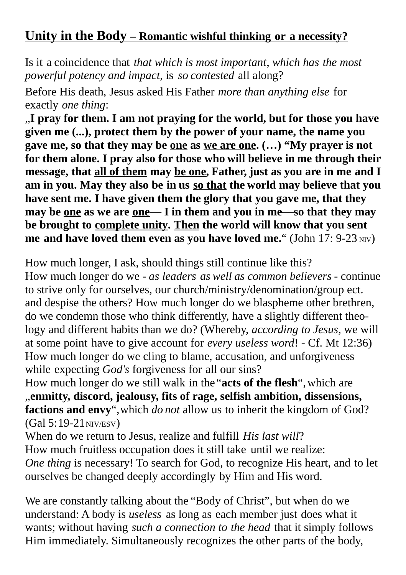## **Unity in the Body – Romantic wishful thinking or a necessity?**

Is it a coincidence that *that which is most important*, *which has the most powerful potency and impact*, is *so contested* all along?

Before His death, Jesus asked His Father *more than anything else* for exactly *one thing*:

"**I pray for them. I am not praying for the world, but for those you have given me (...), protect them by the power of your name, the name you gave me, so that they may be one as we are one. (…) "My prayer is not for them alone. I pray also for those who will believe in me through their message, that all of them may be one, Father, just as you are in me and I am in you. May they also be in us so that the world may believe that you have sent me. I have given them the glory that you gave me, that they may be one as we are one— I in them and you in me—so that they may be brought to complete unity. Then the world will know that you sent me** and have loved them even as you have loved me." (John 17: 9-23 NIV)

How much longer, I ask, should things still continue like this? How much longer do we - *as leaders as well as common believers* - continue to strive only for ourselves, our church/ministry/denomination/group ect. and despise the others? How much longer do we blaspheme other brethren, do we condemn those who think differently, have a slightly different theology and different habits than we do? (Whereby, *according to Jesus*, we will at some point have to give account for *every useless word*! - Cf. Mt 12:36) How much longer do we cling to blame, accusation, and unforgiveness while expecting *God's* forgiveness for all our sins?

How much longer do we still walk in the "**acts of the flesh**",which are "**enmitty, discord, jealousy, fits of rage, selfish ambition, dissensions, factions and envy**",which *do not* allow us to inherit the kingdom of God? (Gal 5:19-21NIV/ESV)

When do we return to Jesus, realize and fulfill *His last will*? How much fruitless occupation does it still take until we realize: *One thing* is necessary! To search for God, to recognize His heart, and to let ourselves be changed deeply accordingly by Him and His word.

We are constantly talking about the "Body of Christ", but when do we understand: A body is *useless* as long as each member just does what it wants; without having *such a connection to the head* that it simply follows Him immediately. Simultaneously recognizes the other parts of the body,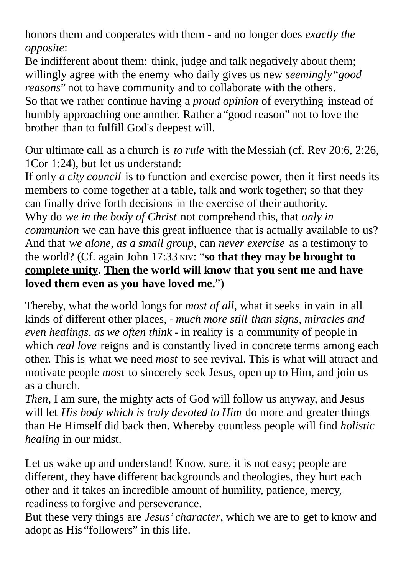honors them and cooperates with them - and no longer does *exactly the opposite*:

Be indifferent about them; think, judge and talk negatively about them; willingly agree with the enemy who daily gives us new *seemingly* "*good reasons*" not to have community and to collaborate with the others. So that we rather continue having a *proud opinion* of everything instead of humbly approaching one another. Rather a"good reason" not to love the brother than to fulfill God's deepest will.

Our ultimate call as a church is *to rule* with the Messiah (cf. Rev 20:6, 2:26, 1Cor 1:24), but let us understand:

If only *a city council* is to function and exercise power, then it first needs its members to come together at a table, talk and work together; so that they can finally drive forth decisions in the exercise of their authority. Why do *we in the body of Christ* not comprehend this, that *only in communion* we can have this great influence that is actually available to us? And that *we alone, as a small group*, can *never exercise* as a testimony to the world? (Cf. again John 17:33 NIV: "**so that they may be brought to complete unity. Then the world will know that you sent me and have loved them even as you have loved me.**")

Thereby, what the world longsfor *most of all*, what it seeks in vain in all kinds of different other places, - *much more still than signs, miracles and even healings, as we often think* - in reality is a community of people in which *real love* reigns and is constantly lived in concrete terms among each other. This is what we need *most* to see revival. This is what will attract and motivate people *most* to sincerely seek Jesus, open up to Him, and join us as a church.

*Then*, I am sure, the mighty acts of God will follow us anyway, and Jesus will let *His body which is truly devoted to Him* do more and greater things than He Himself did back then. Whereby countless people will find *holistic healing* in our midst.

Let us wake up and understand! Know, sure, it is not easy; people are different, they have different backgrounds and theologies, they hurt each other and it takes an incredible amount of humility, patience, mercy, readiness to forgive and perseverance.

But these very things are *Jesus' character*, which we are to get to know and adopt as His "followers" in this life.